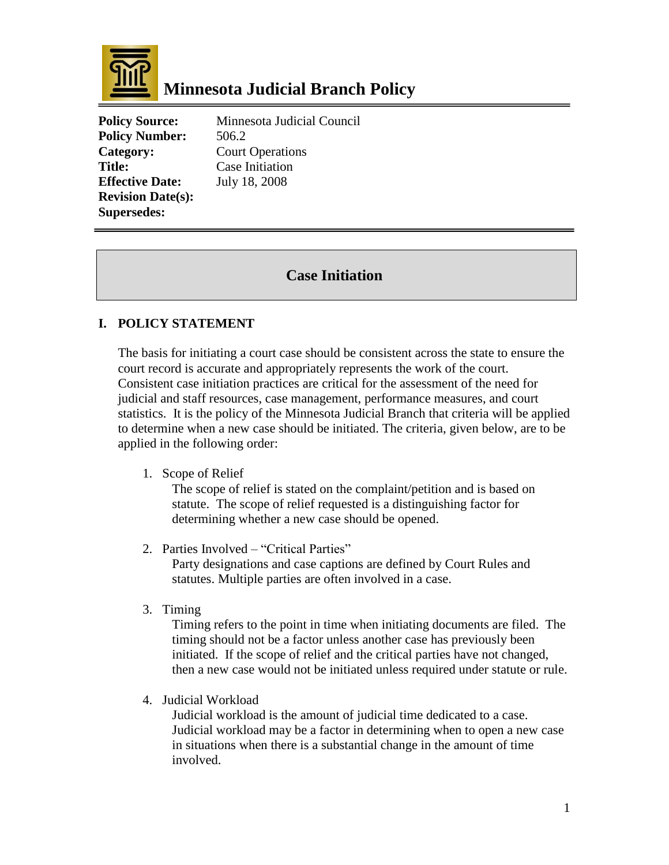

## **Minnesota Judicial Branch Policy**

**Policy Number:** 506.2 **Title:** Case Initiation **Effective Date:** July 18, 2008 **Revision Date(s): Supersedes:**

**Policy Source:** Minnesota Judicial Council **Category:** Court Operations

## **Case Initiation**

## **I. POLICY STATEMENT**

The basis for initiating a court case should be consistent across the state to ensure the court record is accurate and appropriately represents the work of the court. Consistent case initiation practices are critical for the assessment of the need for judicial and staff resources, case management, performance measures, and court statistics. It is the policy of the Minnesota Judicial Branch that criteria will be applied to determine when a new case should be initiated. The criteria, given below, are to be applied in the following order:

1. Scope of Relief

The scope of relief is stated on the complaint/petition and is based on statute. The scope of relief requested is a distinguishing factor for determining whether a new case should be opened.

2. Parties Involved – "Critical Parties"

Party designations and case captions are defined by Court Rules and statutes. Multiple parties are often involved in a case.

3. Timing

Timing refers to the point in time when initiating documents are filed. The timing should not be a factor unless another case has previously been initiated. If the scope of relief and the critical parties have not changed, then a new case would not be initiated unless required under statute or rule.

4. Judicial Workload

Judicial workload is the amount of judicial time dedicated to a case. Judicial workload may be a factor in determining when to open a new case in situations when there is a substantial change in the amount of time involved.